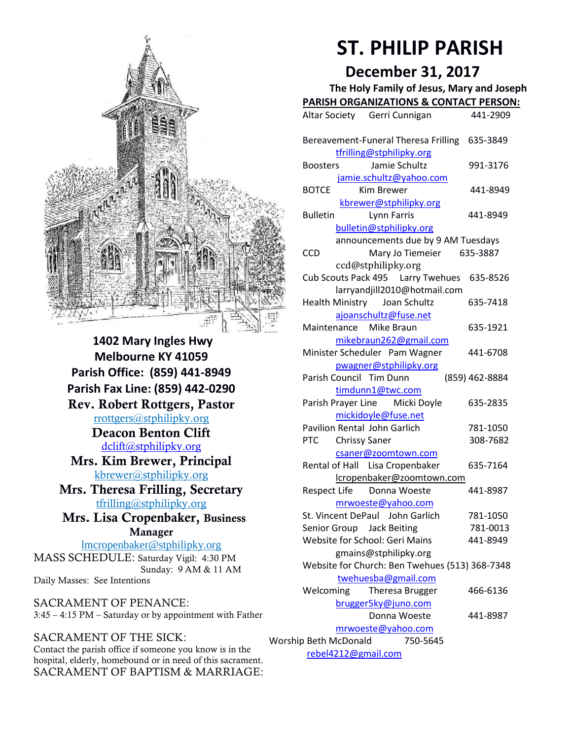

**1402 Mary Ingles Hwy Melbourne KY 41059 Parish Office: (859) 441-8949 Parish Fax Line: (859) 442-0290 Rev. Robert Rottgers, Pastor**  [rrottgers@stphilipky.org](mailto:rrottgers@stphilipky.org) **Deacon Benton Clift**  [dclift@stphilipky.org](mailto:dclift@stphilipky.org) **Mrs. Kim Brewer, Principal**  [kbrewer@stphilipky.org](mailto:kbrewer@stphilipky.org) **Mrs. Theresa Frilling, Secretary**  [tfrilling@stphilipky.org](mailto:tfrilling@stphilipky.org) **Mrs. Lisa Cropenbaker, Business Manager**  lmcropenbaker@stphilipky.org MASS SCHEDULE: Saturday Vigil: 4:30 PM Sunday: 9 AM & 11 AM

Daily Masses: See Intentions

SACRAMENT OF PENANCE: 3:45 – 4:15 PM – Saturday or by appointment with Father

#### SACRAMENT OF THE SICK:

Contact the parish office if someone you know is in the hospital, elderly, homebound or in need of this sacrament. SACRAMENT OF BAPTISM & MARRIAGE:

# **ST. PHILIP PARISH**

# **December 31, 2017**

 **The Holy Family of Jesus, Mary and Joseph PARISH ORGANIZATIONS & CONTACT PERSON:**

|                                                          |                                                                           | PANISH UNGAINIZATIONS & CONTACT PENSUN                              |                      |
|----------------------------------------------------------|---------------------------------------------------------------------------|---------------------------------------------------------------------|----------------------|
|                                                          |                                                                           | Altar Society Gerri Cunnigan                                        | 441-2909             |
|                                                          |                                                                           | Bereavement-Funeral Theresa Frilling<br>tfrilling@stphilipky.org    | 635-3849             |
|                                                          | <b>Boosters</b>                                                           | Jamie Schultz                                                       | 991-3176             |
|                                                          | <b>BOTCE</b>                                                              | jamie.schultz@yahoo.com<br><b>Kim Brewer</b>                        | 441-8949             |
|                                                          | <b>Bulletin</b>                                                           | kbrewer@stphilipky.org<br>Lynn Farris                               | 441-8949             |
|                                                          | bulletin@stphilipky.org<br>announcements due by 9 AM Tuesdays<br>635-3887 |                                                                     |                      |
|                                                          | CCD                                                                       | Mary Jo Tiemeier<br>ccd@stphilipky.org                              |                      |
|                                                          |                                                                           | Cub Scouts Pack 495   Larry Twehues<br>larryandjill2010@hotmail.com | 635-8526             |
|                                                          | <b>Health Ministry</b>                                                    | Joan Schultz<br>ajoanschultz@fuse.net                               | 635-7418             |
|                                                          | Maintenance                                                               | Mike Braun<br>mikebraun262@gmail.com                                | 635-1921             |
|                                                          |                                                                           | Minister Scheduler Pam Wagner                                       | 441-6708             |
|                                                          | Parish Council Tim Dunn                                                   | pwagner@stphilipky.org                                              | (859) 462-8884       |
|                                                          |                                                                           | timdunn1@twc.com<br>Parish Prayer Line Micki Doyle                  | 635-2835             |
|                                                          |                                                                           | mickidoyle@fuse.net<br>Pavilion Rental John Garlich                 | 781-1050             |
|                                                          | <b>PTC</b>                                                                | <b>Chrissy Saner</b><br>csaner@zoomtown.com                         | 308-7682             |
|                                                          |                                                                           | Rental of Hall Lisa Cropenbaker<br>lcropenbaker@zoomtown.com        | 635-7164             |
|                                                          | <b>Respect Life</b>                                                       | Donna Woeste                                                        | 441-8987             |
|                                                          |                                                                           | mrwoeste@yahoo.com<br>St. Vincent DePaul John Garlich               | 781-1050             |
|                                                          | Senior Group Jack Beiting                                                 | Website for School: Geri Mains                                      | 781-0013<br>441-8949 |
|                                                          | gmains@stphilipky.org<br>Website for Church: Ben Twehues (513) 368-7348   |                                                                     |                      |
|                                                          | Welcoming                                                                 | twehuesba@gmail.com<br><b>Theresa Brugger</b>                       | 466-6136             |
|                                                          |                                                                           | brugger5ky@juno.com                                                 |                      |
| Donna Woeste<br>441-8987<br>mrwoeste@yahoo.com           |                                                                           |                                                                     |                      |
| Worship Beth McDonald<br>750-5645<br>rebel4212@gmail.com |                                                                           |                                                                     |                      |
|                                                          |                                                                           |                                                                     |                      |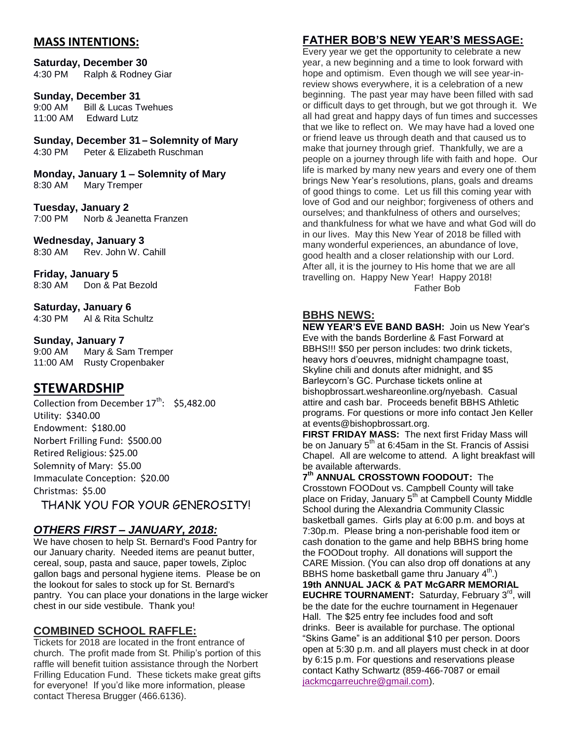## **MASS INTENTIONS:**

**Saturday, December 30** 4:30 PM Ralph & Rodney Giar

**Sunday, December 31**<br>9:00 AM Bill & Lucas T 9:00 AM Bill & Lucas Twehues<br>11:00 AM Edward Lutz Edward Lutz

**Sunday, December 31 – Solemnity of Mary**

Peter & Elizabeth Ruschman

**Monday, January 1 – Solemnity of Mary**  8:30 AM Mary Tremper

**Tuesday, January 2**  Norb & Jeanetta Franzen

**Wednesday, January 3**

8:30 AM Rev. John W. Cahill

**Friday, January 5** 8:30 AM Don & Pat Bezold

**Saturday, January 6** 4:30 PM Al & Rita Schultz

#### **Sunday, January 7**

9:00 AM Mary & Sam Tremper 11:00 AM Rusty Cropenbaker

# **STEWARDSHIP**

Collection from December  $17<sup>th</sup>$ : \$5,482.00 Utility: \$340.00 Endowment: \$180.00 Norbert Frilling Fund: \$500.00 Retired Religious: \$25.00 Solemnity of Mary: \$5.00 Immaculate Conception: \$20.00 Christmas: \$5.00

THANK YOU FOR YOUR GENEROSITY!

# *OTHERS FIRST – JANUARY, 2018:*

We have chosen to help St. Bernard's Food Pantry for our January charity. Needed items are peanut butter, cereal, soup, pasta and sauce, paper towels, Ziploc gallon bags and personal hygiene items. Please be on the lookout for sales to stock up for St. Bernard's pantry. You can place your donations in the large wicker chest in our side vestibule. Thank you!

# **COMBINED SCHOOL RAFFLE:**

Tickets for 2018 are located in the front entrance of church. The profit made from St. Philip's portion of this raffle will benefit tuition assistance through the Norbert Frilling Education Fund. These tickets make great gifts for everyone! If you'd like more information, please contact Theresa Brugger (466.6136).

# **FATHER BOB'S NEW YEAR'S MESSAGE:**

Every year we get the opportunity to celebrate a new year, a new beginning and a time to look forward with hope and optimism. Even though we will see year-inreview shows everywhere, it is a celebration of a new beginning. The past year may have been filled with sad or difficult days to get through, but we got through it. We all had great and happy days of fun times and successes that we like to reflect on. We may have had a loved one or friend leave us through death and that caused us to make that journey through grief. Thankfully, we are a people on a journey through life with faith and hope. Our life is marked by many new years and every one of them brings New Year's resolutions, plans, goals and dreams of good things to come. Let us fill this coming year with love of God and our neighbor; forgiveness of others and ourselves; and thankfulness of others and ourselves; and thankfulness for what we have and what God will do in our lives. May this New Year of 2018 be filled with many wonderful experiences, an abundance of love, good health and a closer relationship with our Lord. After all, it is the journey to His home that we are all travelling on. Happy New Year! Happy 2018! Father Bob

# **BBHS NEWS:**

**NEW YEAR'S EVE BAND BASH:** Join us New Year's Eve with the bands Borderline & Fast Forward at BBHS!!! \$50 per person includes: two drink tickets, heavy hors d'oeuvres, midnight champagne toast, Skyline chili and donuts after midnight, and \$5 Barleycorn's GC. Purchase tickets online at bishopbrossart.weshareonline.org/nyebash. Casual attire and cash bar. Proceeds benefit BBHS Athletic programs. For questions or more info contact Jen Keller at events@bishopbrossart.org.

**FIRST FRIDAY MASS:** The next first Friday Mass will be on January  $5<sup>th</sup>$  at 6:45am in the St. Francis of Assisi Chapel. All are welcome to attend. A light breakfast will be available afterwards.

**7 th ANNUAL CROSSTOWN FOODOUT:** The Crosstown FOODout vs. Campbell County will take place on Friday, January 5<sup>th</sup> at Campbell County Middle School during the Alexandria Community Classic basketball games. Girls play at 6:00 p.m. and boys at 7:30p.m. Please bring a non-perishable food item or cash donation to the game and help BBHS bring home the FOODout trophy. All donations will support the CARE Mission. (You can also drop off donations at any BBHS home basketball game thru January  $4^{\text{th}}$ .) **19th ANNUAL JACK & PAT McGARR MEMORIAL EUCHRE TOURNAMENT:** Saturday, February 3<sup>rd</sup>, will be the date for the euchre tournament in Hegenauer Hall. The \$25 entry fee includes food and soft drinks. Beer is available for purchase. The optional "Skins Game" is an additional \$10 per person. Doors open at 5:30 p.m. and all players must check in at door by 6:15 p.m. For questions and reservations please contact Kathy Schwartz (859-466-7087 or email [jackmcgarreuchre@gmail.com\)](mailto:jackmcgarreuchre@gmail.com).